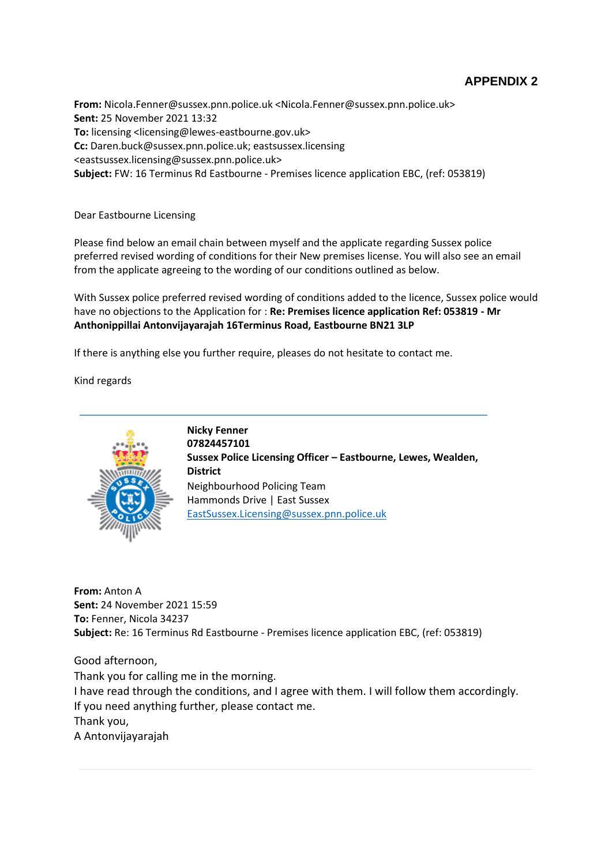# **APPENDIX 2**

**From:** Nicola.Fenner@sussex.pnn.police.uk <Nicola.Fenner@sussex.pnn.police.uk> **Sent:** 25 November 2021 13:32 **To:** licensing <licensing@lewes-eastbourne.gov.uk> **Cc:** Daren.buck@sussex.pnn.police.uk; eastsussex.licensing <eastsussex.licensing@sussex.pnn.police.uk> **Subject:** FW: 16 Terminus Rd Eastbourne - Premises licence application EBC, (ref: 053819)

Dear Eastbourne Licensing

Please find below an email chain between myself and the applicate regarding Sussex police preferred revised wording of conditions for their New premises license. You will also see an email from the applicate agreeing to the wording of our conditions outlined as below.

With Sussex police preferred revised wording of conditions added to the licence, Sussex police would have no objections to the Application for : **Re: Premises licence application Ref: 053819 - Mr Anthonippillai Antonvijayarajah 16Terminus Road, Eastbourne BN21 3LP**

If there is anything else you further require, pleases do not hesitate to contact me.

Kind regards



**Nicky Fenner 07824457101 Sussex Police Licensing Officer – Eastbourne, Lewes, Wealden, District** Neighbourhood Policing Team Hammonds Drive | East Sussex [EastSussex.Licensing@sussex.pnn.police.uk](mailto:EastSussex.Licensing@sussex.pnn.police.uk)

**From:** Anton A **Sent:** 24 November 2021 15:59 **To:** Fenner, Nicola 34237 **Subject:** Re: 16 Terminus Rd Eastbourne - Premises licence application EBC, (ref: 053819)

Good afternoon, Thank you for calling me in the morning. I have read through the conditions, and I agree with them. I will follow them accordingly. If you need anything further, please contact me. Thank you, A Antonvijayarajah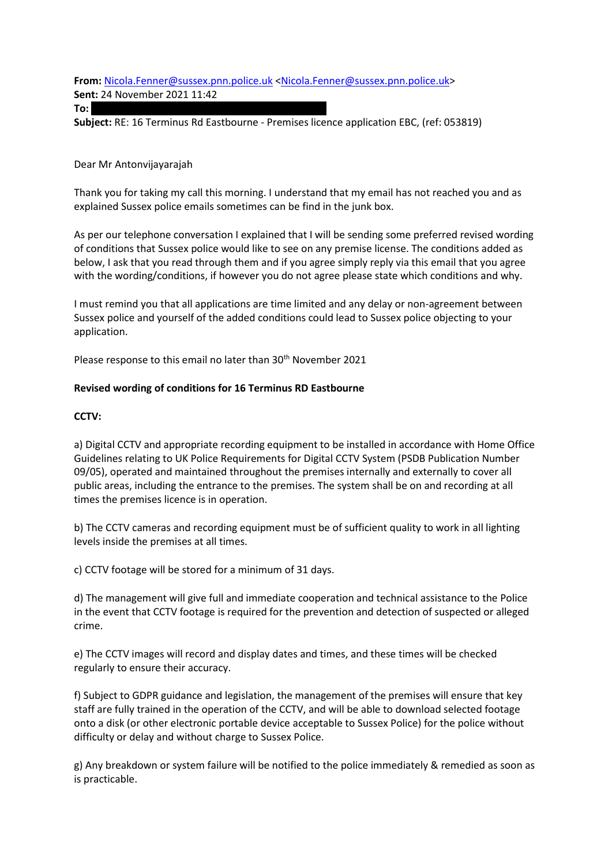**From:** [Nicola.Fenner@sussex.pnn.police.uk](mailto:Nicola.Fenner@sussex.pnn.police.uk) [<Nicola.Fenner@sussex.pnn.police.uk>](mailto:Nicola.Fenner@sussex.pnn.police.uk) **Sent:** 24 November 2021 11:42

**To:** trishandler trishandler trishandler trishandler trishandler trishandler trishandler trishandler trishandler

**Subject:** RE: 16 Terminus Rd Eastbourne - Premises licence application EBC, (ref: 053819)

#### Dear Mr Antonvijayarajah

Thank you for taking my call this morning. I understand that my email has not reached you and as explained Sussex police emails sometimes can be find in the junk box.

As per our telephone conversation I explained that I will be sending some preferred revised wording of conditions that Sussex police would like to see on any premise license. The conditions added as below, I ask that you read through them and if you agree simply reply via this email that you agree with the wording/conditions, if however you do not agree please state which conditions and why.

I must remind you that all applications are time limited and any delay or non-agreement between Sussex police and yourself of the added conditions could lead to Sussex police objecting to your application.

Please response to this email no later than 30<sup>th</sup> November 2021

### **Revised wording of conditions for 16 Terminus RD Eastbourne**

### **CCTV:**

a) Digital CCTV and appropriate recording equipment to be installed in accordance with Home Office Guidelines relating to UK Police Requirements for Digital CCTV System (PSDB Publication Number 09/05), operated and maintained throughout the premises internally and externally to cover all public areas, including the entrance to the premises. The system shall be on and recording at all times the premises licence is in operation.

b) The CCTV cameras and recording equipment must be of sufficient quality to work in all lighting levels inside the premises at all times.

c) CCTV footage will be stored for a minimum of 31 days.

d) The management will give full and immediate cooperation and technical assistance to the Police in the event that CCTV footage is required for the prevention and detection of suspected or alleged crime.

e) The CCTV images will record and display dates and times, and these times will be checked regularly to ensure their accuracy.

f) Subject to GDPR guidance and legislation, the management of the premises will ensure that key staff are fully trained in the operation of the CCTV, and will be able to download selected footage onto a disk (or other electronic portable device acceptable to Sussex Police) for the police without difficulty or delay and without charge to Sussex Police.

g) Any breakdown or system failure will be notified to the police immediately & remedied as soon as is practicable.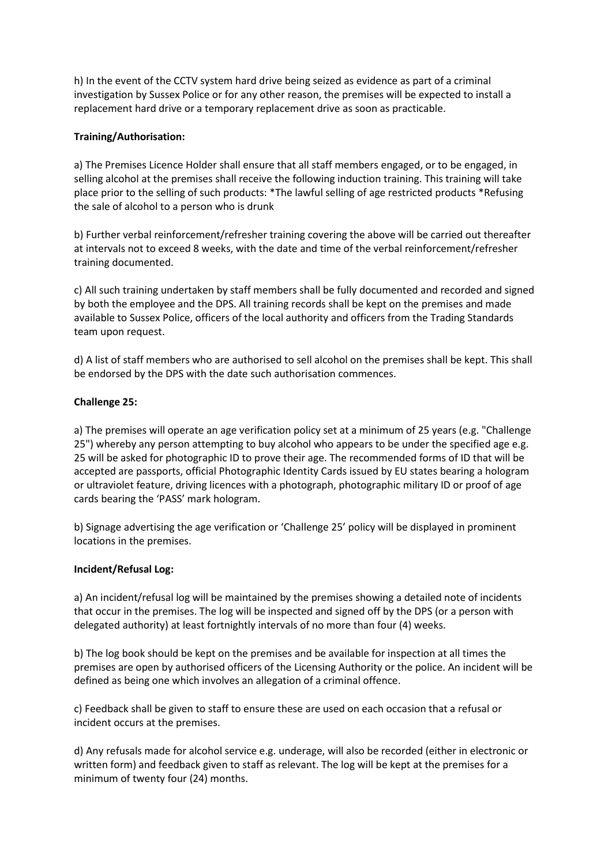h) In the event of the CCTV system hard drive being seized as evidence as part of a criminal investigation by Sussex Police or for any other reason, the premises will be expected to install a replacement hard drive or a temporary replacement drive as soon as practicable.

## **Training/Authorisation:**

a) The Premises Licence Holder shall ensure that all staff members engaged, or to be engaged, in selling alcohol at the premises shall receive the following induction training. This training will take place prior to the selling of such products: \*The lawful selling of age restricted products \*Refusing the sale of alcohol to a person who is drunk

b) Further verbal reinforcement/refresher training covering the above will be carried out thereafter at intervals not to exceed 8 weeks, with the date and time of the verbal reinforcement/refresher training documented.

c) All such training undertaken by staff members shall be fully documented and recorded and signed by both the employee and the DPS. All training records shall be kept on the premises and made available to Sussex Police, officers of the local authority and officers from the Trading Standards team upon request.

d) A list of staff members who are authorised to sell alcohol on the premises shall be kept. This shall be endorsed by the DPS with the date such authorisation commences.

### **Challenge 25:**

a) The premises will operate an age verification policy set at a minimum of 25 years (e.g. "Challenge 25") whereby any person attempting to buy alcohol who appears to be under the specified age e.g. 25 will be asked for photographic ID to prove their age. The recommended forms of ID that will be accepted are passports, official Photographic Identity Cards issued by EU states bearing a hologram or ultraviolet feature, driving licences with a photograph, photographic military ID or proof of age cards bearing the 'PASS' mark hologram.

b) Signage advertising the age verification or 'Challenge 25' policy will be displayed in prominent locations in the premises.

### **Incident/Refusal Log:**

a) An incident/refusal log will be maintained by the premises showing a detailed note of incidents that occur in the premises. The log will be inspected and signed off by the DPS (or a person with delegated authority) at least fortnightly intervals of no more than four (4) weeks.

b) The log book should be kept on the premises and be available for inspection at all times the premises are open by authorised officers of the Licensing Authority or the police. An incident will be defined as being one which involves an allegation of a criminal offence.

c) Feedback shall be given to staff to ensure these are used on each occasion that a refusal or incident occurs at the premises.

d) Any refusals made for alcohol service e.g. underage, will also be recorded (either in electronic or written form) and feedback given to staff as relevant. The log will be kept at the premises for a minimum of twenty four (24) months.